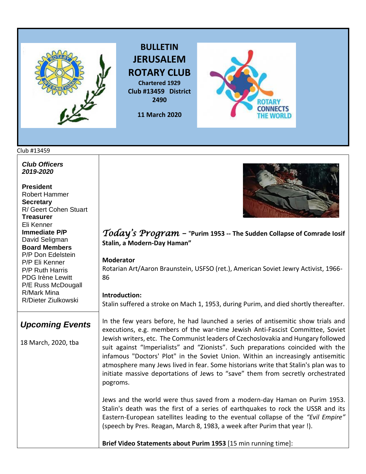

**BULLETIN JERUSALEM ROTARY CLUB Chartered 1929 Club #13459 District 2490**

**11 March 2020** 



#### Club #13459

*Club Officers 2019-2020*

**President**  Robert Hammer **Secretary**  R/ Geert Cohen Stuart **Treasurer**  Eli Kenner **Immediate P/P** David Seligman **Board Members**  P/P Don Edelstein P/P Eli Kenner P/P Ruth Harris PDG Irène Lewitt P/E Russ McDougall R/Mark Mina R/Dieter Ziulkowski



### *Today's Program –* "**Purim 1953 -- The Sudden Collapse of Comrade Iosif Stalin, a Modern-Day Haman"**

#### **Moderator**

Rotarian Art/Aaron Braunstein, USFSO (ret.), American Soviet Jewry Activist, 1966- 86

#### **Introduction:**

Stalin suffered a stroke on Mach 1, 1953, during Purim, and died shortly thereafter.

### *Upcoming Events*

18 March, 2020, tba

In the few years before, he had launched a series of antisemitic show trials and executions, e.g. members of the war-time Jewish Anti-Fascist Committee, Soviet Jewish writers, etc. The Communist leaders of Czechoslovakia and Hungary followed suit against "Imperialists" and "Zionists". Such preparations coincided with the infamous "Doctors' Plot" in the Soviet Union. Within an increasingly antisemitic atmosphere many Jews lived in fear. Some historians write that Stalin's plan was to initiate massive deportations of Jews to "save" them from secretly orchestrated pogroms.

Jews and the world were thus saved from a modern-day Haman on Purim 1953. Stalin's death was the first of a series of earthquakes to rock the USSR and its Eastern-European satellites leading to the eventual collapse of the *"Evil Empire"* (speech by Pres. Reagan, March 8, 1983, a week after Purim that year !).

**Brief Video Statements about Purim 1953** [15 min running time]: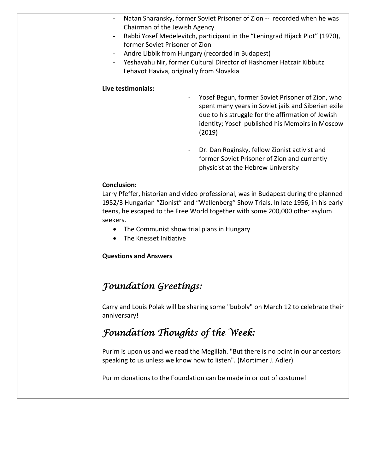| $\blacksquare$           | Natan Sharansky, former Soviet Prisoner of Zion -- recorded when he was     |                                                                                                                                                                                                                 |
|--------------------------|-----------------------------------------------------------------------------|-----------------------------------------------------------------------------------------------------------------------------------------------------------------------------------------------------------------|
|                          | Chairman of the Jewish Agency                                               |                                                                                                                                                                                                                 |
| $\overline{\phantom{a}}$ | Rabbi Yosef Medelevitch, participant in the "Leningrad Hijack Plot" (1970), |                                                                                                                                                                                                                 |
|                          | former Soviet Prisoner of Zion                                              |                                                                                                                                                                                                                 |
| $\blacksquare$           | Andre Libbik from Hungary (recorded in Budapest)                            |                                                                                                                                                                                                                 |
| $\overline{\phantom{a}}$ | Yeshayahu Nir, former Cultural Director of Hashomer Hatzair Kibbutz         |                                                                                                                                                                                                                 |
|                          | Lehavot Haviva, originally from Slovakia                                    |                                                                                                                                                                                                                 |
|                          |                                                                             |                                                                                                                                                                                                                 |
| Live testimonials:       |                                                                             |                                                                                                                                                                                                                 |
|                          | $\blacksquare$<br>(2019)                                                    | Yosef Begun, former Soviet Prisoner of Zion, who<br>spent many years in Soviet jails and Siberian exile<br>due to his struggle for the affirmation of Jewish<br>identity; Yosef published his Memoirs in Moscow |
|                          |                                                                             |                                                                                                                                                                                                                 |

Dr. Dan Roginsky, fellow Zionist activist and former Soviet Prisoner of Zion and currently physicist at the Hebrew University

#### **Conclusion:**

Larry Pfeffer, historian and video professional, was in Budapest during the planned 1952/3 Hungarian "Zionist" and "Wallenberg" Show Trials. In late 1956, in his early teens, he escaped to the Free World together with some 200,000 other asylum seekers.

- The Communist show trial plans in Hungary
- The Knesset Initiative

#### **Questions and Answers**

## *Foundation Greetings:*

Carry and Louis Polak will be sharing some "bubbly" on March 12 to celebrate their anniversary!

## *Foundation Thoughts of the Week:*

Purim is upon us and we read the Megillah. "But there is no point in our ancestors speaking to us unless we know how to listen". (Mortimer J. Adler)

Purim donations to the Foundation can be made in or out of costume!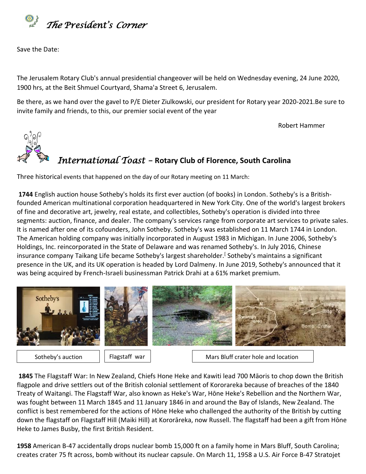

Save the Date:

The Jerusalem Rotary Club's annual presidential changeover will be held on Wednesday evening, 24 June 2020, 1900 hrs, at the Beit Shmuel Courtyard, Shama'a Street 6, Jerusalem.

Be there, as we hand over the gavel to P/E Dieter Ziulkowski, our president for Rotary year 2020-2021.Be sure to invite family and friends, to this, our premier social event of the year

Robert Hammer

# *International Toast –* **Rotary Club of Florence, South Carolina**

Three historical events that happened on the day of our Rotary meeting on 11 March:

**[1744](https://www.onthisday.com/events/date/1744)** English auction house Sotheby's holds its first ever auction (of books) in London. Sotheby's is a Britishfounded American [multinational corporation](https://en.wikipedia.org/wiki/Multinational_corporation) headquartered i[n New York City.](https://en.wikipedia.org/wiki/New_York_City) One of the world's largest [brokers](https://en.wikipedia.org/wiki/Broker) of [fine](https://en.wikipedia.org/wiki/Fine_art) and [decorative art,](https://en.wikipedia.org/wiki/Decorative_art) [jewelry,](https://en.wikipedia.org/wiki/Jewelry) [real estate,](https://en.wikipedia.org/wiki/Real_estate) an[d collectibles,](https://en.wikipedia.org/wiki/Collectibles) Sotheby's operation is divided into three segments: [auction,](https://en.wikipedia.org/wiki/Auction) finance, and dealer. The company's services range from corporate art services to private sales. It is named after one of its cofounders, [John Sotheby.](https://en.wikipedia.org/wiki/John_Sotheby) Sotheby's was established on 11 March 1744 in [London.](https://en.wikipedia.org/wiki/London) The American [holding company](https://en.wikipedia.org/wiki/Holding_company) was initially incorporated in August 1983 in [Michigan.](https://en.wikipedia.org/wiki/Michigan) In June 2006, Sotheby's Holdings, Inc. reincorporated in the State of [Delaware](https://en.wikipedia.org/wiki/Delaware) and was renamed Sotheby's. In July 2016, Chinese insurance company [Taikang Life](https://en.wikipedia.org/wiki/Taikang_Life) became Sotheby's largest shareholder[.](https://en.wikipedia.org/wiki/Sotheby%27s#cite_note-8)<sup>[</sup> Sotheby's maintains a significant presence in the UK, and its UK operation is headed by [Lord Dalmeny.](https://en.wikipedia.org/wiki/Harry_Primrose,_Lord_Dalmeny) In June 2019, Sotheby's announced that it was being acquired by French-Israeli businessman [Patrick Drahi](https://en.wikipedia.org/wiki/Patrick_Drahi) at a 61% market premium.



Sotheby's auction

Flagstaff war | Mars Bluff crater hole and location

**[1845](https://www.onthisday.com/events/date/1845)** The Flagstaff War: In New Zealand, Chiefs Hone Heke and Kawiti lead 700 Māoris to chop down the British flagpole and drive settlers out of the British colonial settlement of Kororareka because of breaches of the 1840 Treaty of Waitangi. The Flagstaff War, also known as Heke's War, Hōne Heke's Rebellion and the Northern War, was fought between 11 March 1845 and 11 January 1846 in and around the [Bay of Islands,](https://en.wikipedia.org/wiki/Bay_of_Islands) [New Zealand.](https://en.wikipedia.org/wiki/New_Zealand) The conflict is best remembered for the actions of [Hōne Heke](https://en.wikipedia.org/wiki/H%C5%8Dne_Heke) who challenged the authority of the British by cutting down the flagstaff on [Flagstaff Hill](https://en.wikipedia.org/wiki/Flagstaff_Hill,_New_Zealand) (Maiki Hill) at Kororāreka, now [Russell](https://en.wikipedia.org/wiki/Russell,_New_Zealand). The flagstaff had been a gift from Hōne Heke to [James Busby,](https://en.wikipedia.org/wiki/James_Busby) the first [British Resident.](https://en.wikipedia.org/wiki/Resident_(title))

**[1958](https://www.onthisday.com/events/date/1958)** American B-47 accidentally drops nuclear bomb 15,000 ft on a family home in Mars Bluff, South Carolina; creates crater 75 ft across, bomb without its nuclear capsule. On March 11, 1958 a U.S. Air Force [B-47 Stratojet](https://en.wikipedia.org/wiki/B-47_Stratojet)